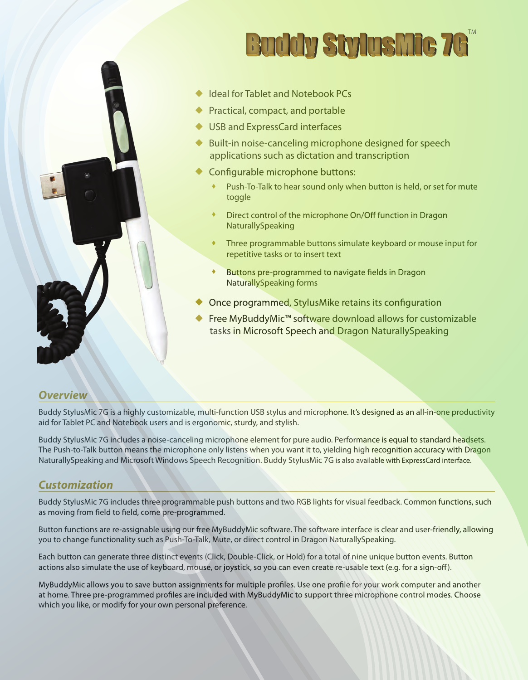

# **Buddy StylusMic 76**

- ◆ Ideal for Tablet and Notebook PCs
- **Practical, compact, and portable**
- ◆ USB and ExpressCard interfaces
- Built-in noise-canceling microphone designed for speech applications such as dictation and transcription  $\blacklozenge$
- ♦ Configurable microphone buttons:
	- Push-To-Talk to hear sound only when button is held, or set for mute toggle ٠
	- Direct control of the microphone On/Off function in Dragon ٠ NaturallySpeaking
	- Three programmable buttons simulate keyboard or mouse input for repetitive tasks or to insert text ٠
	- Buttons pre-programmed to navigate fields in Dragon ٠ NaturallySpeaking forms
- Once programmed, StylusMike retains its configuration  $\blacklozenge$
- Free MyBuddyMic™ software download allows for customizable tasks in Microsoft Speech and Dragon NaturallySpeaking ♦

#### *Overview*

Buddy StylusMic 7G is a highly customizable, multi-function USB stylus and microphone. It's designed as an all-in-one productivity aid for Tablet PC and Notebook users and is ergonomic, sturdy, and stylish.

Buddy StylusMic 7G includes a noise-canceling microphone element for pure audio. Performance is equal to standard headsets. The Push-to-Talk button means the microphone only listens when you want it to, yielding high recognition accuracy with Dragon NaturallySpeaking and Microsoft Windows Speech Recognition. Buddy StylusMic 7G is also available with ExpressCard interface.

#### *Customization*

Buddy StylusMic 7G includes three programmable push buttons and two RGB lights for visual feedback. Common functions, such as moving from field to field, come pre-programmed.

Button functions are re-assignable using our free MyBuddyMic software. The software interface is clear and user-friendly, allowing you to change functionality such as Push-To-Talk, Mute, or direct control in Dragon NaturallySpeaking.

Each button can generate three distinct events (Click, Double-Click, or Hold) for a total of nine unique button events. Button actions also simulate the use of keyboard, mouse, or joystick, so you can even create re-usable text (e.g. for a sign-off).

MyBuddyMic allows you to save button assignments for multiple profiles. Use one profile for your work computer and another at home. Three pre-programmed profiles are included with MyBuddyMic to support three microphone control modes. Choose which you like, or modify for your own personal preference.